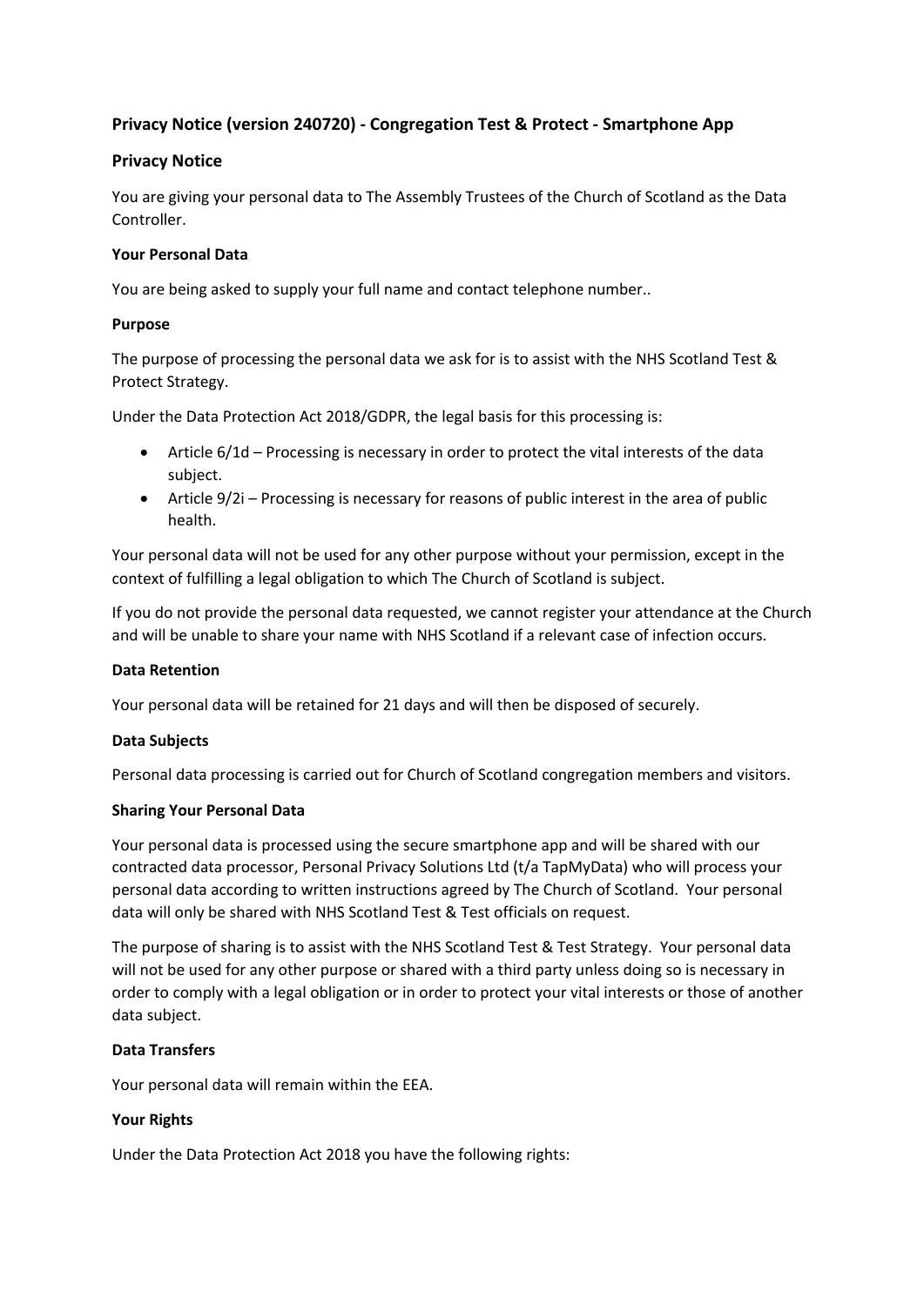## **Privacy Notice (version 240720) - Congregation Test & Protect - Smartphone App**

### **Privacy Notice**

You are giving your personal data to The Assembly Trustees of the Church of Scotland as the Data Controller.

#### **Your Personal Data**

You are being asked to supply your full name and contact telephone number..

#### **Purpose**

The purpose of processing the personal data we ask for is to assist with the NHS Scotland Test & Protect Strategy.

Under the Data Protection Act 2018/GDPR, the legal basis for this processing is:

- Article 6/1d Processing is necessary in order to protect the vital interests of the data subject.
- Article 9/2i Processing is necessary for reasons of public interest in the area of public health.

Your personal data will not be used for any other purpose without your permission, except in the context of fulfilling a legal obligation to which The Church of Scotland is subject.

If you do not provide the personal data requested, we cannot register your attendance at the Church and will be unable to share your name with NHS Scotland if a relevant case of infection occurs.

#### **Data Retention**

Your personal data will be retained for 21 days and will then be disposed of securely.

#### **Data Subjects**

Personal data processing is carried out for Church of Scotland congregation members and visitors.

#### **Sharing Your Personal Data**

Your personal data is processed using the secure smartphone app and will be shared with our contracted data processor, Personal Privacy Solutions Ltd (t/a TapMyData) who will process your personal data according to written instructions agreed by The Church of Scotland. Your personal data will only be shared with NHS Scotland Test & Test officials on request.

The purpose of sharing is to assist with the NHS Scotland Test & Test Strategy. Your personal data will not be used for any other purpose or shared with a third party unless doing so is necessary in order to comply with a legal obligation or in order to protect your vital interests or those of another data subject.

#### **Data Transfers**

Your personal data will remain within the EEA.

#### **Your Rights**

Under the Data Protection Act 2018 you have the following rights: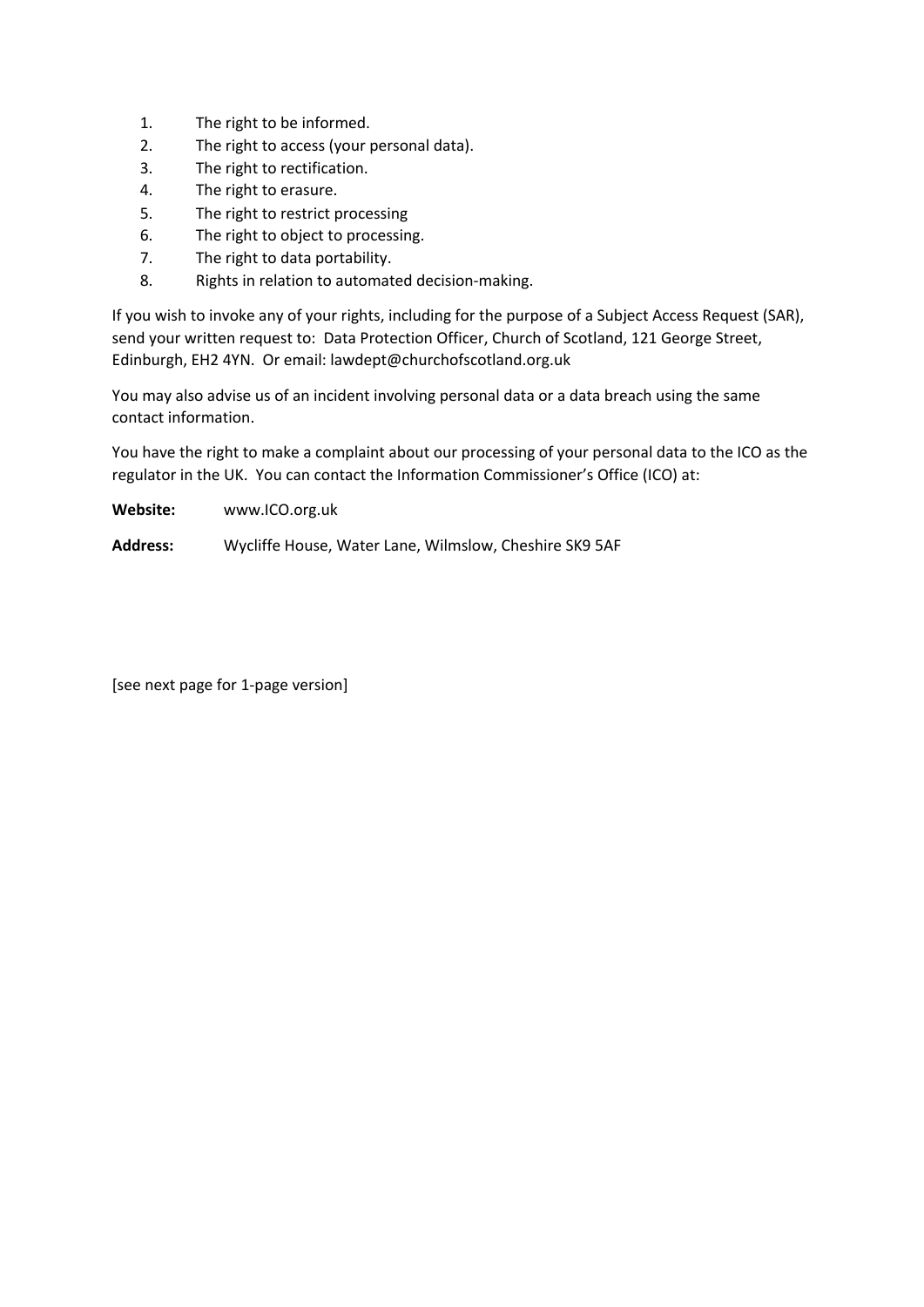- 1. The right to be informed.
- 2. The right to access (your personal data).
- 3. The right to rectification.
- 4. The right to erasure.
- 5. The right to restrict processing
- 6. The right to object to processing.
- 7. The right to data portability.
- 8. Rights in relation to automated decision-making.

If you wish to invoke any of your rights, including for the purpose of a Subject Access Request (SAR), send your written request to: Data Protection Officer, Church of Scotland, 121 George Street, Edinburgh, EH2 4YN. Or email: lawdept@churchofscotland.org.uk

You may also advise us of an incident involving personal data or a data breach using the same contact information.

You have the right to make a complaint about our processing of your personal data to the ICO as the regulator in the UK. You can contact the Information Commissioner's Office (ICO) at:

**Website:** www.ICO.org.uk

**Address:** Wycliffe House, Water Lane, Wilmslow, Cheshire SK9 5AF

[see next page for 1-page version]